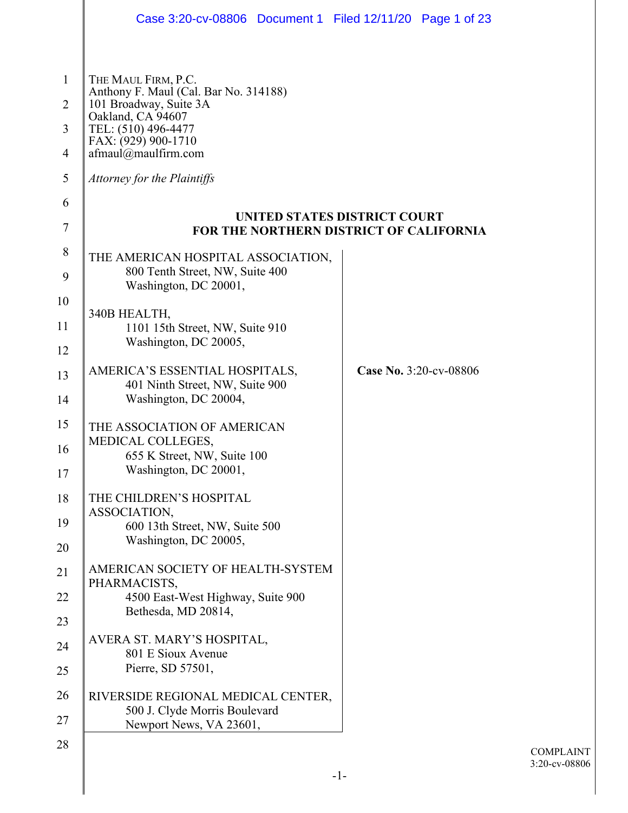|                                  | Case 3:20-cv-08806 Document 1 Filed 12/11/20 Page 1 of 23                                      |                        |
|----------------------------------|------------------------------------------------------------------------------------------------|------------------------|
|                                  |                                                                                                |                        |
| $\mathbf{1}$                     | THE MAUL FIRM, P.C.<br>Anthony F. Maul (Cal. Bar No. 314188)                                   |                        |
| $\overline{2}$<br>$\overline{3}$ | 101 Broadway, Suite 3A<br>Oakland, CA 94607<br>TEL: (510) 496-4477                             |                        |
| $\overline{4}$                   | FAX: (929) 900-1710<br>afmaul@maulfirm.com                                                     |                        |
| 5                                | Attorney for the Plaintiffs                                                                    |                        |
| 6                                | UNITED STATES DISTRICT COURT                                                                   |                        |
| $\tau$                           | FOR THE NORTHERN DISTRICT OF CALIFORNIA                                                        |                        |
| 8<br>9                           | THE AMERICAN HOSPITAL ASSOCIATION,<br>800 Tenth Street, NW, Suite 400<br>Washington, DC 20001, |                        |
| 10                               |                                                                                                |                        |
| 11                               | 340B HEALTH,<br>1101 15th Street, NW, Suite 910                                                |                        |
| 12                               | Washington, DC 20005,                                                                          |                        |
| 13                               | AMERICA'S ESSENTIAL HOSPITALS,<br>401 Ninth Street, NW, Suite 900<br>Washington, DC 20004,     | Case No. 3:20-cv-08806 |
| 14                               |                                                                                                |                        |
| 15<br>16                         | THE ASSOCIATION OF AMERICAN<br>MEDICAL COLLEGES,                                               |                        |
| 17                               | 655 K Street, NW, Suite 100<br>Washington, DC 20001,                                           |                        |
| 18                               | THE CHILDREN'S HOSPITAL                                                                        |                        |
| 19                               | ASSOCIATION,<br>600 13th Street, NW, Suite 500                                                 |                        |
| 20                               | Washington, DC 20005,                                                                          |                        |
| 21                               | AMERICAN SOCIETY OF HEALTH-SYSTEM<br>PHARMACISTS,                                              |                        |
| 22                               | 4500 East-West Highway, Suite 900<br>Bethesda, MD 20814,                                       |                        |
| 23                               | AVERA ST. MARY'S HOSPITAL,                                                                     |                        |
| 24<br>25                         | 801 E Sioux Avenue<br>Pierre, SD 57501,                                                        |                        |
| 26                               | RIVERSIDE REGIONAL MEDICAL CENTER,<br>500 J. Clyde Morris Boulevard                            |                        |
| 27                               | Newport News, VA 23601,                                                                        |                        |
| 28                               |                                                                                                |                        |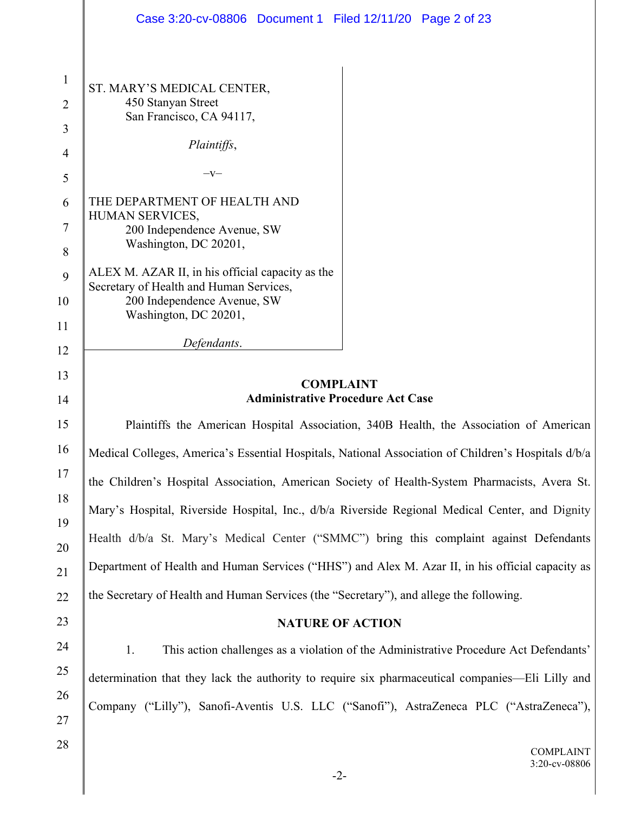|                | Case 3:20-cv-08806 Document 1 Filed 12/11/20 Page 2 of 23                                           |  |  |
|----------------|-----------------------------------------------------------------------------------------------------|--|--|
|                |                                                                                                     |  |  |
| $\mathbf{1}$   | ST. MARY'S MEDICAL CENTER,                                                                          |  |  |
| $\overline{2}$ | 450 Stanyan Street<br>San Francisco, CA 94117,                                                      |  |  |
| $\overline{3}$ |                                                                                                     |  |  |
| $\overline{4}$ | Plaintiffs,                                                                                         |  |  |
| 5              | $-V-$                                                                                               |  |  |
| 6              | THE DEPARTMENT OF HEALTH AND<br>HUMAN SERVICES,                                                     |  |  |
| 7              | 200 Independence Avenue, SW                                                                         |  |  |
| 8              | Washington, DC 20201,                                                                               |  |  |
| 9              | ALEX M. AZAR II, in his official capacity as the<br>Secretary of Health and Human Services,         |  |  |
| 10             | 200 Independence Avenue, SW                                                                         |  |  |
| 11             | Washington, DC 20201,                                                                               |  |  |
| 12             | Defendants.                                                                                         |  |  |
| 13             | <b>COMPLAINT</b>                                                                                    |  |  |
| 14             | <b>Administrative Procedure Act Case</b>                                                            |  |  |
| 15             | Plaintiffs the American Hospital Association, 340B Health, the Association of American              |  |  |
| 16             | Medical Colleges, America's Essential Hospitals, National Association of Children's Hospitals d/b/a |  |  |
| 17             | the Children's Hospital Association, American Society of Health-System Pharmacists, Avera St.       |  |  |
| 18<br>19       | Mary's Hospital, Riverside Hospital, Inc., d/b/a Riverside Regional Medical Center, and Dignity     |  |  |
| 20             | Health d/b/a St. Mary's Medical Center ("SMMC") bring this complaint against Defendants             |  |  |
| 21             | Department of Health and Human Services ("HHS") and Alex M. Azar II, in his official capacity as    |  |  |
| 22             | the Secretary of Health and Human Services (the "Secretary"), and allege the following.             |  |  |
| 23             | <b>NATURE OF ACTION</b>                                                                             |  |  |
| 24             | 1.<br>This action challenges as a violation of the Administrative Procedure Act Defendants'         |  |  |
| 25             | determination that they lack the authority to require six pharmaceutical companies—Eli Lilly and    |  |  |
| 26             |                                                                                                     |  |  |
| 27             | Company ("Lilly"), Sanofi-Aventis U.S. LLC ("Sanofi"), AstraZeneca PLC ("AstraZeneca"),             |  |  |
| 28             | <b>COMPLAINT</b><br>3:20-cv-08806                                                                   |  |  |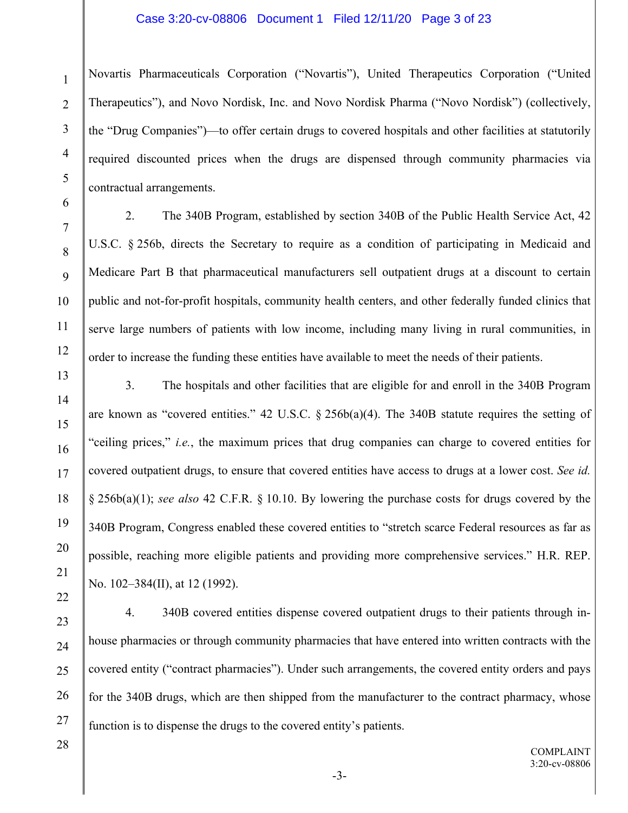### Case 3:20-cv-08806 Document 1 Filed 12/11/20 Page 3 of 23

Novartis Pharmaceuticals Corporation ("Novartis"), United Therapeutics Corporation ("United Therapeutics"), and Novo Nordisk, Inc. and Novo Nordisk Pharma ("Novo Nordisk") (collectively, the "Drug Companies")—to offer certain drugs to covered hospitals and other facilities at statutorily required discounted prices when the drugs are dispensed through community pharmacies via contractual arrangements.

1

2

3

4

2. The 340B Program, established by section 340B of the Public Health Service Act, 42 U.S.C. § 256b, directs the Secretary to require as a condition of participating in Medicaid and Medicare Part B that pharmaceutical manufacturers sell outpatient drugs at a discount to certain public and not-for-profit hospitals, community health centers, and other federally funded clinics that serve large numbers of patients with low income, including many living in rural communities, in order to increase the funding these entities have available to meet the needs of their patients.

3. The hospitals and other facilities that are eligible for and enroll in the 340B Program are known as "covered entities." 42 U.S.C.  $\S$  256b(a)(4). The 340B statute requires the setting of "ceiling prices," *i.e.*, the maximum prices that drug companies can charge to covered entities for covered outpatient drugs, to ensure that covered entities have access to drugs at a lower cost. *See id.* § 256b(a)(1); *see also* 42 C.F.R. § 10.10. By lowering the purchase costs for drugs covered by the 340B Program, Congress enabled these covered entities to "stretch scarce Federal resources as far as possible, reaching more eligible patients and providing more comprehensive services." H.R. REP. No. 102–384(II), at 12 (1992).

4. 340B covered entities dispense covered outpatient drugs to their patients through inhouse pharmacies or through community pharmacies that have entered into written contracts with the covered entity ("contract pharmacies"). Under such arrangements, the covered entity orders and pays for the 340B drugs, which are then shipped from the manufacturer to the contract pharmacy, whose function is to dispense the drugs to the covered entity's patients.

28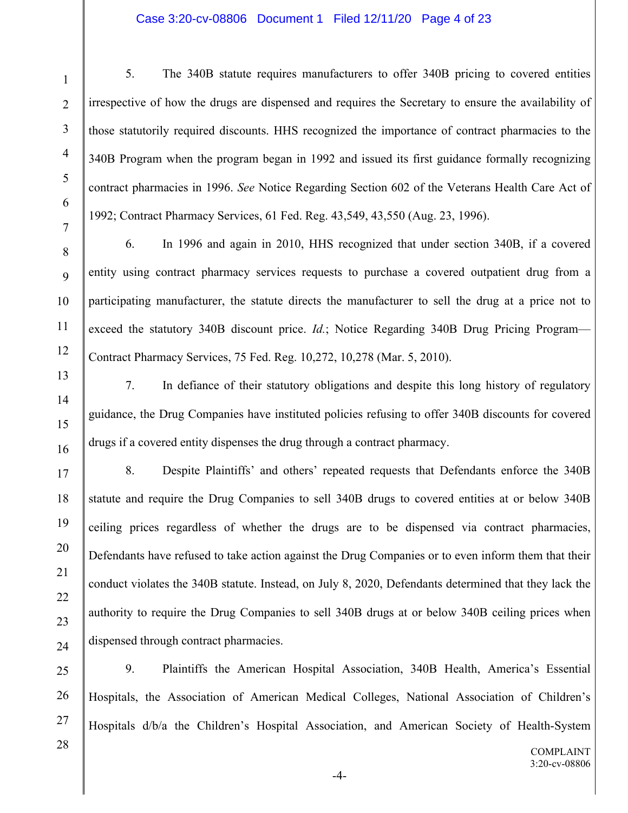### Case 3:20-cv-08806 Document 1 Filed 12/11/20 Page 4 of 23

5. The 340B statute requires manufacturers to offer 340B pricing to covered entities irrespective of how the drugs are dispensed and requires the Secretary to ensure the availability of those statutorily required discounts. HHS recognized the importance of contract pharmacies to the 340B Program when the program began in 1992 and issued its first guidance formally recognizing contract pharmacies in 1996. *See* Notice Regarding Section 602 of the Veterans Health Care Act of 1992; Contract Pharmacy Services, 61 Fed. Reg. 43,549, 43,550 (Aug. 23, 1996).

6. In 1996 and again in 2010, HHS recognized that under section 340B, if a covered entity using contract pharmacy services requests to purchase a covered outpatient drug from a participating manufacturer, the statute directs the manufacturer to sell the drug at a price not to exceed the statutory 340B discount price. *Id.*; Notice Regarding 340B Drug Pricing Program— Contract Pharmacy Services, 75 Fed. Reg. 10,272, 10,278 (Mar. 5, 2010).

1

2

3

4

5

6

7

8

9

10

11

12

13

14

15

16

17

18

19

20

21

22

23

24

7. In defiance of their statutory obligations and despite this long history of regulatory guidance, the Drug Companies have instituted policies refusing to offer 340B discounts for covered drugs if a covered entity dispenses the drug through a contract pharmacy.

8. Despite Plaintiffs' and others' repeated requests that Defendants enforce the 340B statute and require the Drug Companies to sell 340B drugs to covered entities at or below 340B ceiling prices regardless of whether the drugs are to be dispensed via contract pharmacies, Defendants have refused to take action against the Drug Companies or to even inform them that their conduct violates the 340B statute. Instead, on July 8, 2020, Defendants determined that they lack the authority to require the Drug Companies to sell 340B drugs at or below 340B ceiling prices when dispensed through contract pharmacies.

25 26 27 9. Plaintiffs the American Hospital Association, 340B Health, America's Essential Hospitals, the Association of American Medical Colleges, National Association of Children's Hospitals d/b/a the Children's Hospital Association, and American Society of Health-System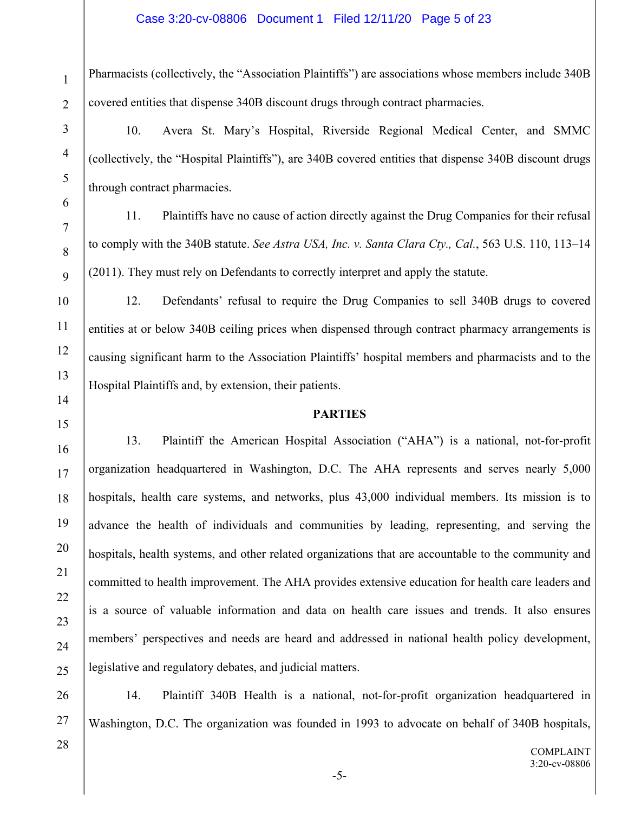Pharmacists (collectively, the "Association Plaintiffs") are associations whose members include 340B covered entities that dispense 340B discount drugs through contract pharmacies.

10. Avera St. Mary's Hospital, Riverside Regional Medical Center, and SMMC (collectively, the "Hospital Plaintiffs"), are 340B covered entities that dispense 340B discount drugs through contract pharmacies.

11. Plaintiffs have no cause of action directly against the Drug Companies for their refusal to comply with the 340B statute. *See Astra USA, Inc. v. Santa Clara Cty., Cal.*, 563 U.S. 110, 113–14 (2011). They must rely on Defendants to correctly interpret and apply the statute.

12. Defendants' refusal to require the Drug Companies to sell 340B drugs to covered entities at or below 340B ceiling prices when dispensed through contract pharmacy arrangements is causing significant harm to the Association Plaintiffs' hospital members and pharmacists and to the Hospital Plaintiffs and, by extension, their patients.

# **PARTIES**

13. Plaintiff the American Hospital Association ("AHA") is a national, not-for-profit organization headquartered in Washington, D.C. The AHA represents and serves nearly 5,000 hospitals, health care systems, and networks, plus 43,000 individual members. Its mission is to advance the health of individuals and communities by leading, representing, and serving the hospitals, health systems, and other related organizations that are accountable to the community and committed to health improvement. The AHA provides extensive education for health care leaders and is a source of valuable information and data on health care issues and trends. It also ensures members' perspectives and needs are heard and addressed in national health policy development, legislative and regulatory debates, and judicial matters.

14. Plaintiff 340B Health is a national, not-for-profit organization headquartered in Washington, D.C. The organization was founded in 1993 to advocate on behalf of 340B hospitals,

1

2

3

4

5

6

7

8

9

10

11

12

13

14

15

16

17

18

19

20

21

22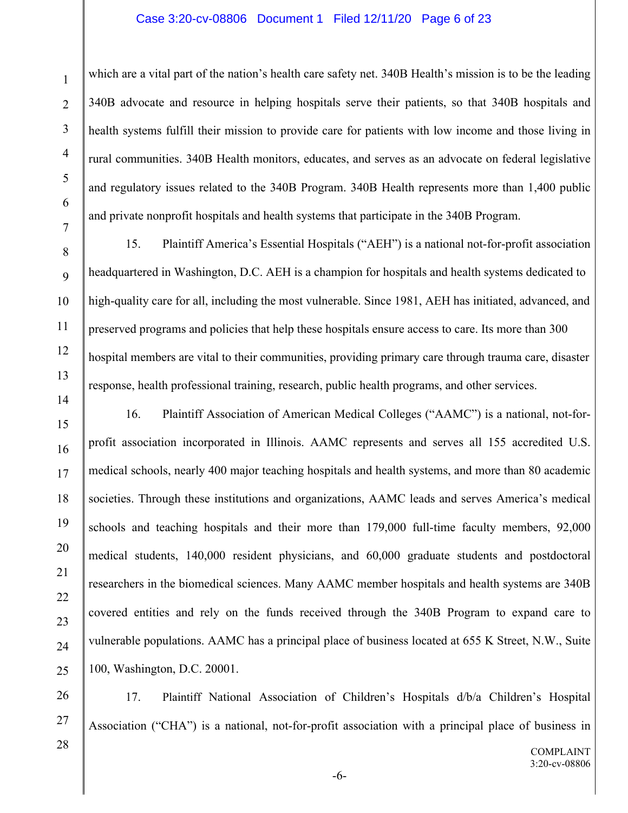### Case 3:20-cv-08806 Document 1 Filed 12/11/20 Page 6 of 23

which are a vital part of the nation's health care safety net. 340B Health's mission is to be the leading 340B advocate and resource in helping hospitals serve their patients, so that 340B hospitals and health systems fulfill their mission to provide care for patients with low income and those living in rural communities. 340B Health monitors, educates, and serves as an advocate on federal legislative and regulatory issues related to the 340B Program. 340B Health represents more than 1,400 public and private nonprofit hospitals and health systems that participate in the 340B Program.

15. Plaintiff America's Essential Hospitals ("AEH") is a national not-for-profit association headquartered in Washington, D.C. AEH is a champion for hospitals and health systems dedicated to high-quality care for all, including the most vulnerable. Since 1981, AEH has initiated, advanced, and preserved programs and policies that help these hospitals ensure access to care. Its more than 300 hospital members are vital to their communities, providing primary care through trauma care, disaster response, health professional training, research, public health programs, and other services.

16. Plaintiff Association of American Medical Colleges ("AAMC") is a national, not-forprofit association incorporated in Illinois. AAMC represents and serves all 155 accredited U.S. medical schools, nearly 400 major teaching hospitals and health systems, and more than 80 academic societies. Through these institutions and organizations, AAMC leads and serves America's medical schools and teaching hospitals and their more than 179,000 full-time faculty members, 92,000 medical students, 140,000 resident physicians, and 60,000 graduate students and postdoctoral researchers in the biomedical sciences. Many AAMC member hospitals and health systems are 340B covered entities and rely on the funds received through the 340B Program to expand care to vulnerable populations. AAMC has a principal place of business located at 655 K Street, N.W., Suite 100, Washington, D.C. 20001.

17. Plaintiff National Association of Children's Hospitals d/b/a Children's Hospital Association ("CHA") is a national, not-for-profit association with a principal place of business in

28

1

2

3

4

5

6

7

8

9

10

11

12

13

14

15

16

17

18

19

20

21

22

23

24

25

26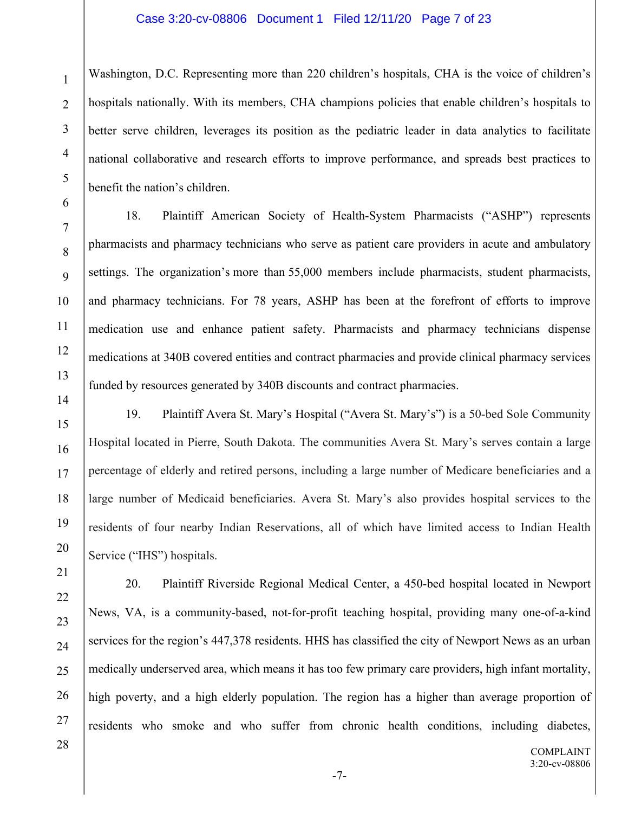### Case 3:20-cv-08806 Document 1 Filed 12/11/20 Page 7 of 23

Washington, D.C. Representing more than 220 children's hospitals, CHA is the voice of children's hospitals nationally. With its members, CHA champions policies that enable children's hospitals to better serve children, leverages its position as the pediatric leader in data analytics to facilitate national collaborative and research efforts to improve performance, and spreads best practices to benefit the nation's children.

18. Plaintiff American Society of Health-System Pharmacists ("ASHP") represents pharmacists and pharmacy technicians who serve as patient care providers in acute and ambulatory settings. The organization's more than 55,000 members include pharmacists, student pharmacists, and pharmacy technicians. For 78 years, ASHP has been at the forefront of efforts to improve medication use and enhance patient safety. Pharmacists and pharmacy technicians dispense medications at 340B covered entities and contract pharmacies and provide clinical pharmacy services funded by resources generated by 340B discounts and contract pharmacies.

21

22

23

24

25

26

27

28

1

2

3

4

5

6

7

8

9

10

11

12

13

14

19. Plaintiff Avera St. Mary's Hospital ("Avera St. Mary's") is a 50-bed Sole Community Hospital located in Pierre, South Dakota. The communities Avera St. Mary's serves contain a large percentage of elderly and retired persons, including a large number of Medicare beneficiaries and a large number of Medicaid beneficiaries. Avera St. Mary's also provides hospital services to the residents of four nearby Indian Reservations, all of which have limited access to Indian Health Service ("IHS") hospitals.

20. Plaintiff Riverside Regional Medical Center, a 450-bed hospital located in Newport News, VA, is a community-based, not-for-profit teaching hospital, providing many one-of-a-kind services for the region's 447,378 residents. HHS has classified the city of Newport News as an urban medically underserved area, which means it has too few primary care providers, high infant mortality, high poverty, and a high elderly population. The region has a higher than average proportion of residents who smoke and who suffer from chronic health conditions, including diabetes,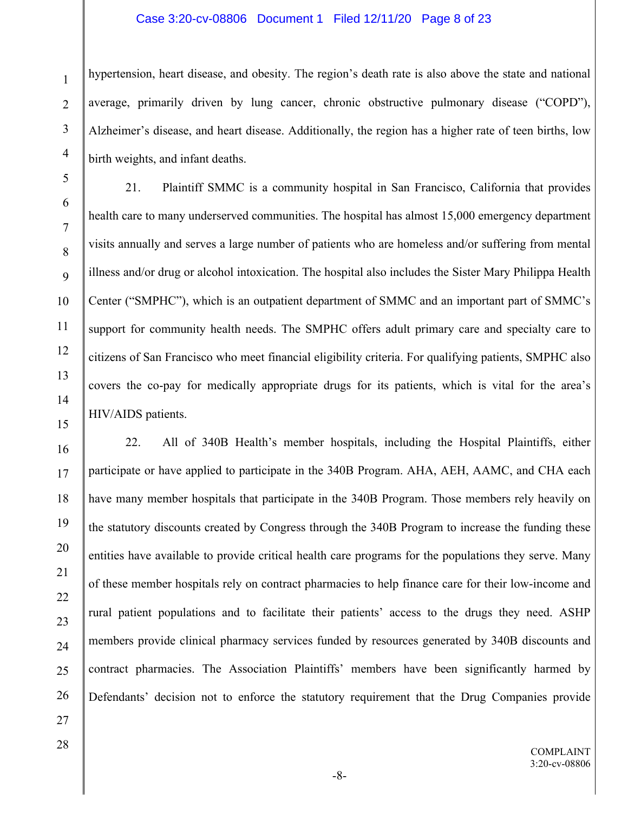### Case 3:20-cv-08806 Document 1 Filed 12/11/20 Page 8 of 23

hypertension, heart disease, and obesity. The region's death rate is also above the state and national average, primarily driven by lung cancer, chronic obstructive pulmonary disease ("COPD"), Alzheimer's disease, and heart disease. Additionally, the region has a higher rate of teen births, low birth weights, and infant deaths.

21. Plaintiff SMMC is a community hospital in San Francisco, California that provides health care to many underserved communities. The hospital has almost 15,000 emergency department visits annually and serves a large number of patients who are homeless and/or suffering from mental illness and/or drug or alcohol intoxication. The hospital also includes the Sister Mary Philippa Health Center ("SMPHC"), which is an outpatient department of SMMC and an important part of SMMC's support for community health needs. The SMPHC offers adult primary care and specialty care to citizens of San Francisco who meet financial eligibility criteria. For qualifying patients, SMPHC also covers the co-pay for medically appropriate drugs for its patients, which is vital for the area's HIV/AIDS patients.

16 17 18 19 20 21 22 22. All of 340B Health's member hospitals, including the Hospital Plaintiffs, either participate or have applied to participate in the 340B Program. AHA, AEH, AAMC, and CHA each have many member hospitals that participate in the 340B Program. Those members rely heavily on the statutory discounts created by Congress through the 340B Program to increase the funding these entities have available to provide critical health care programs for the populations they serve. Many of these member hospitals rely on contract pharmacies to help finance care for their low-income and rural patient populations and to facilitate their patients' access to the drugs they need. ASHP members provide clinical pharmacy services funded by resources generated by 340B discounts and contract pharmacies. The Association Plaintiffs' members have been significantly harmed by Defendants' decision not to enforce the statutory requirement that the Drug Companies provide

1

2

3

4

5

6

7

8

9

10

11

12

13

14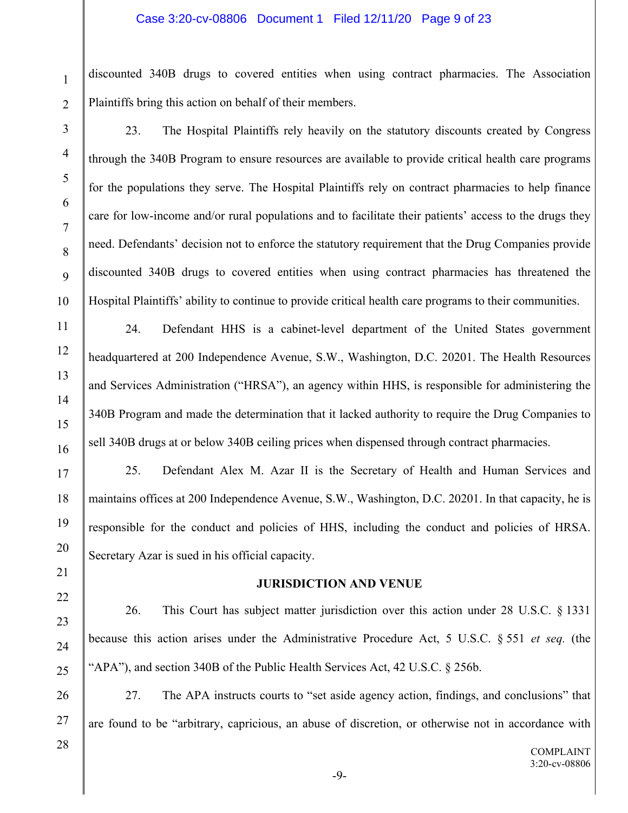#### Case 3:20-cv-08806 Document 1 Filed 12/11/20 Page 9 of 23

discounted 340B drugs to covered entities when using contract pharmacies. The Association Plaintiffs bring this action on behalf of their members.

23. The Hospital Plaintiffs rely heavily on the statutory discounts created by Congress through the 340B Program to ensure resources are available to provide critical health care programs for the populations they serve. The Hospital Plaintiffs rely on contract pharmacies to help finance care for low-income and/or rural populations and to facilitate their patients' access to the drugs they need. Defendants' decision not to enforce the statutory requirement that the Drug Companies provide discounted 340B drugs to covered entities when using contract pharmacies has threatened the Hospital Plaintiffs' ability to continue to provide critical health care programs to their communities.

24. Defendant HHS is a cabinet-level department of the United States government headquartered at 200 Independence Avenue, S.W., Washington, D.C. 20201. The Health Resources and Services Administration ("HRSA"), an agency within HHS, is responsible for administering the 340B Program and made the determination that it lacked authority to require the Drug Companies to sell 340B drugs at or below 340B ceiling prices when dispensed through contract pharmacies.

25. Defendant Alex M. Azar II is the Secretary of Health and Human Services and maintains offices at 200 Independence Avenue, S.W., Washington, D.C. 20201. In that capacity, he is responsible for the conduct and policies of HHS, including the conduct and policies of HRSA. Secretary Azar is sued in his official capacity.

### **JURISDICTION AND VENUE**

26. This Court has subject matter jurisdiction over this action under 28 U.S.C. § 1331 because this action arises under the Administrative Procedure Act, 5 U.S.C. § 551 *et seq.* (the "APA"), and section 340B of the Public Health Services Act, 42 U.S.C. § 256b.

26 27 27. The APA instructs courts to "set aside agency action, findings, and conclusions" that are found to be "arbitrary, capricious, an abuse of discretion, or otherwise not in accordance with

28

1

2

3

4

5

6

7

8

9

10

11

12

13

14

15

16

17

18

19

20

21

22

23

24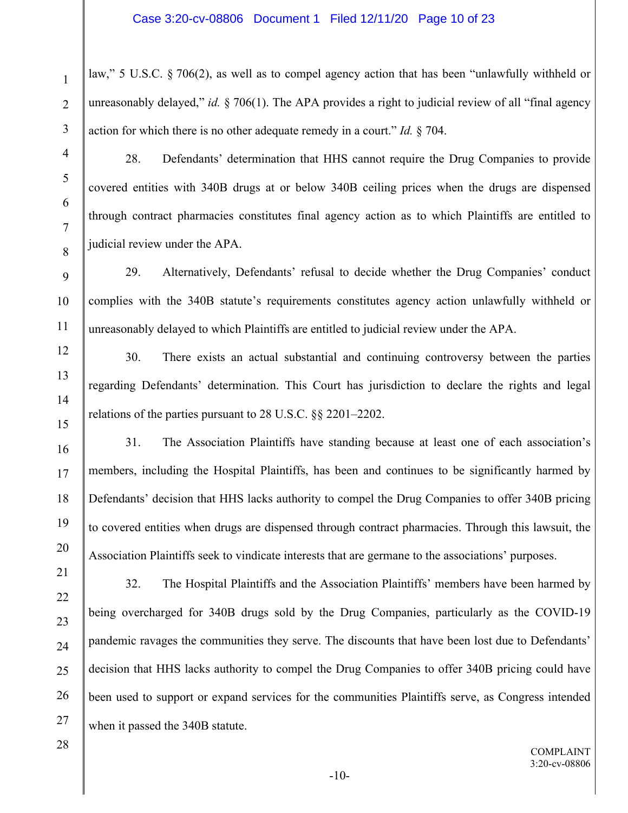law," 5 U.S.C. § 706(2), as well as to compel agency action that has been "unlawfully withheld or unreasonably delayed," *id.* § 706(1). The APA provides a right to judicial review of all "final agency action for which there is no other adequate remedy in a court." *Id.* § 704.

4 5

6

7

8

9

10

11

12

13

14

15

16

17

18

19

20

21

22

23

24

1

2

3

28. Defendants' determination that HHS cannot require the Drug Companies to provide covered entities with 340B drugs at or below 340B ceiling prices when the drugs are dispensed through contract pharmacies constitutes final agency action as to which Plaintiffs are entitled to judicial review under the APA.

29. Alternatively, Defendants' refusal to decide whether the Drug Companies' conduct complies with the 340B statute's requirements constitutes agency action unlawfully withheld or unreasonably delayed to which Plaintiffs are entitled to judicial review under the APA.

30. There exists an actual substantial and continuing controversy between the parties regarding Defendants' determination. This Court has jurisdiction to declare the rights and legal relations of the parties pursuant to 28 U.S.C. §§ 2201–2202.

31. The Association Plaintiffs have standing because at least one of each association's members, including the Hospital Plaintiffs, has been and continues to be significantly harmed by Defendants' decision that HHS lacks authority to compel the Drug Companies to offer 340B pricing to covered entities when drugs are dispensed through contract pharmacies. Through this lawsuit, the Association Plaintiffs seek to vindicate interests that are germane to the associations' purposes.

32. The Hospital Plaintiffs and the Association Plaintiffs' members have been harmed by being overcharged for 340B drugs sold by the Drug Companies, particularly as the COVID-19 pandemic ravages the communities they serve. The discounts that have been lost due to Defendants' decision that HHS lacks authority to compel the Drug Companies to offer 340B pricing could have been used to support or expand services for the communities Plaintiffs serve, as Congress intended when it passed the 340B statute.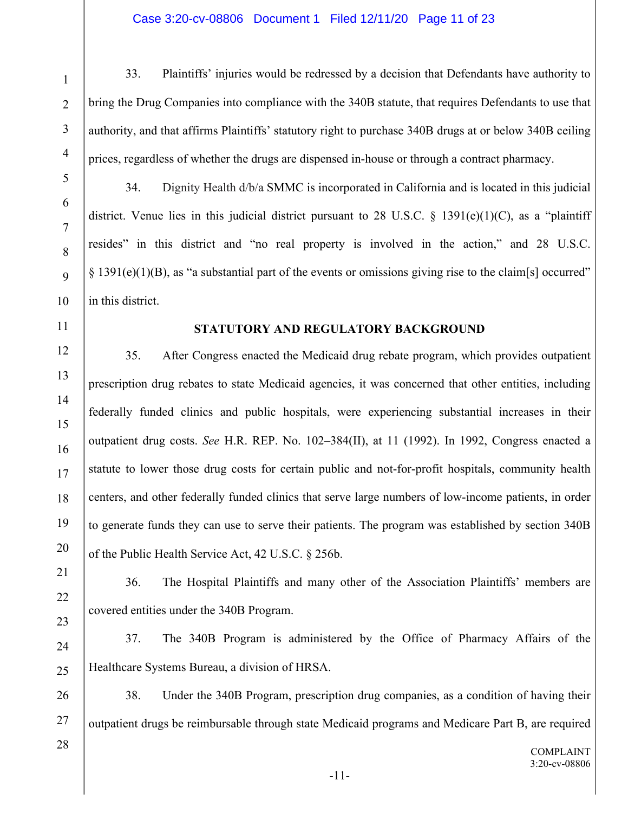## Case 3:20-cv-08806 Document 1 Filed 12/11/20 Page 11 of 23

33. Plaintiffs' injuries would be redressed by a decision that Defendants have authority to bring the Drug Companies into compliance with the 340B statute, that requires Defendants to use that authority, and that affirms Plaintiffs' statutory right to purchase 340B drugs at or below 340B ceiling prices, regardless of whether the drugs are dispensed in-house or through a contract pharmacy.

34. Dignity Health d/b/a SMMC is incorporated in California and is located in this judicial district. Venue lies in this judicial district pursuant to 28 U.S.C. § 1391(e)(1)(C), as a "plaintiff resides" in this district and "no real property is involved in the action," and 28 U.S.C.  $\S$  1391(e)(1)(B), as "a substantial part of the events or omissions giving rise to the claim[s] occurred" in this district.

# **STATUTORY AND REGULATORY BACKGROUND**

35. After Congress enacted the Medicaid drug rebate program, which provides outpatient prescription drug rebates to state Medicaid agencies, it was concerned that other entities, including federally funded clinics and public hospitals, were experiencing substantial increases in their outpatient drug costs. *See* H.R. REP. No. 102–384(II), at 11 (1992). In 1992, Congress enacted a statute to lower those drug costs for certain public and not-for-profit hospitals, community health centers, and other federally funded clinics that serve large numbers of low-income patients, in order to generate funds they can use to serve their patients. The program was established by section 340B of the Public Health Service Act, 42 U.S.C. § 256b.

36. The Hospital Plaintiffs and many other of the Association Plaintiffs' members are covered entities under the 340B Program.

37. The 340B Program is administered by the Office of Pharmacy Affairs of the Healthcare Systems Bureau, a division of HRSA.

38. Under the 340B Program, prescription drug companies, as a condition of having their outpatient drugs be reimbursable through state Medicaid programs and Medicare Part B, are required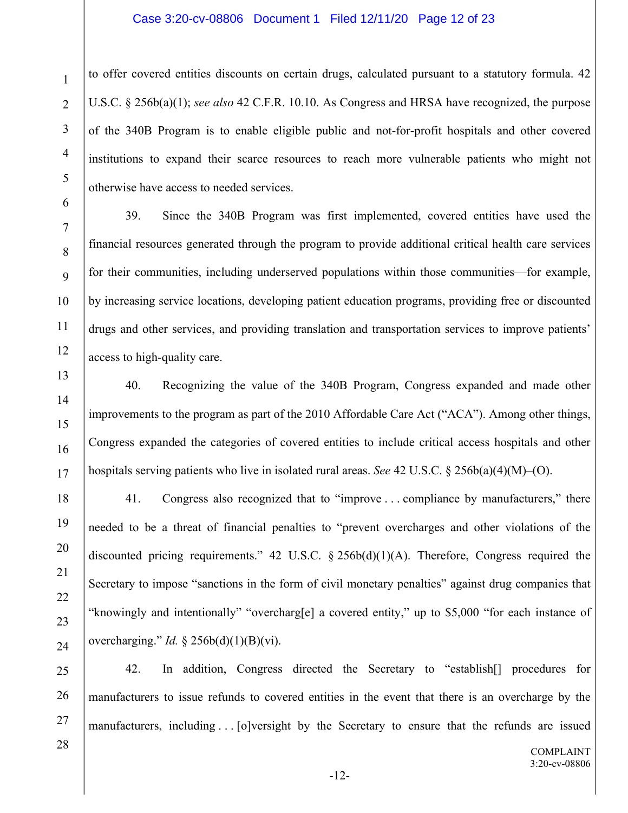### Case 3:20-cv-08806 Document 1 Filed 12/11/20 Page 12 of 23

to offer covered entities discounts on certain drugs, calculated pursuant to a statutory formula. 42 U.S.C. § 256b(a)(1); *see also* 42 C.F.R. 10.10. As Congress and HRSA have recognized, the purpose of the 340B Program is to enable eligible public and not-for-profit hospitals and other covered institutions to expand their scarce resources to reach more vulnerable patients who might not otherwise have access to needed services.

39. Since the 340B Program was first implemented, covered entities have used the financial resources generated through the program to provide additional critical health care services for their communities, including underserved populations within those communities—for example, by increasing service locations, developing patient education programs, providing free or discounted drugs and other services, and providing translation and transportation services to improve patients' access to high-quality care.

40. Recognizing the value of the 340B Program, Congress expanded and made other improvements to the program as part of the 2010 Affordable Care Act ("ACA"). Among other things, Congress expanded the categories of covered entities to include critical access hospitals and other hospitals serving patients who live in isolated rural areas. *See* 42 U.S.C. § 256b(a)(4)(M)–(O).

41. Congress also recognized that to "improve . . . compliance by manufacturers," there needed to be a threat of financial penalties to "prevent overcharges and other violations of the discounted pricing requirements." 42 U.S.C.  $\S$  256b(d)(1)(A). Therefore, Congress required the Secretary to impose "sanctions in the form of civil monetary penalties" against drug companies that "knowingly and intentionally" "overcharg[e] a covered entity," up to \$5,000 "for each instance of overcharging." *Id.* § 256b(d)(1)(B)(vi).

25 26 27 42. In addition, Congress directed the Secretary to "establish[] procedures for manufacturers to issue refunds to covered entities in the event that there is an overcharge by the manufacturers, including . . . [o]versight by the Secretary to ensure that the refunds are issued

1

2

3

4

5

6

7

8

9

10

11

12

13

14

15

16

17

18

19

20

21

22

23

24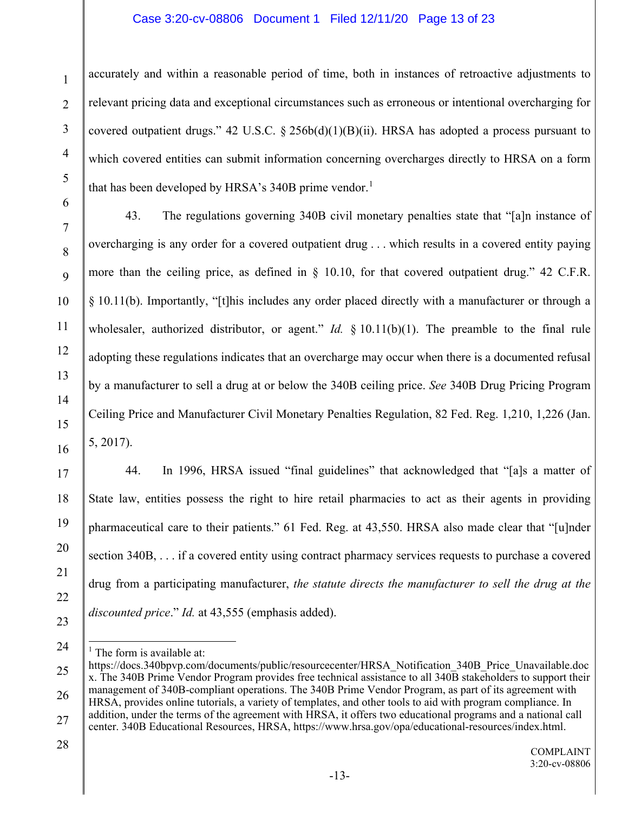# Case 3:20-cv-08806 Document 1 Filed 12/11/20 Page 13 of 23

accurately and within a reasonable period of time, both in instances of retroactive adjustments to relevant pricing data and exceptional circumstances such as erroneous or intentional overcharging for covered outpatient drugs." 42 U.S.C.  $\S$  256b(d)(1)(B)(ii). HRSA has adopted a process pursuant to which covered entities can submit information concerning overcharges directly to HRSA on a form that has been developed by HRSA's 340B prime vendor.<sup>[1](#page-12-0)</sup>

43. The regulations governing 340B civil monetary penalties state that "[a]n instance of overcharging is any order for a covered outpatient drug . . . which results in a covered entity paying more than the ceiling price, as defined in § 10.10, for that covered outpatient drug." 42 C.F.R. § 10.11(b). Importantly, "[t]his includes any order placed directly with a manufacturer or through a wholesaler, authorized distributor, or agent." *Id.* § 10.11(b)(1). The preamble to the final rule adopting these regulations indicates that an overcharge may occur when there is a documented refusal by a manufacturer to sell a drug at or below the 340B ceiling price. *See* 340B Drug Pricing Program Ceiling Price and Manufacturer Civil Monetary Penalties Regulation, 82 Fed. Reg. 1,210, 1,226 (Jan. 5, 2017).

44. In 1996, HRSA issued "final guidelines" that acknowledged that "[a]s a matter of State law, entities possess the right to hire retail pharmacies to act as their agents in providing pharmaceutical care to their patients." 61 Fed. Reg. at 43,550. HRSA also made clear that "[u]nder section 340B, . . . if a covered entity using contract pharmacy services requests to purchase a covered drug from a participating manufacturer, *the statute directs the manufacturer to sell the drug at the discounted price*." *Id.* at 43,555 (emphasis added).

 $<sup>1</sup>$  The form is available at:</sup>

28

1

2

3

4

5

6

7

8

9

10

11

12

13

14

15

16

17

18

19

20

21

22

23

<span id="page-12-0"></span><sup>25</sup> 26 27 https://docs.340bpvp.com/documents/public/resourcecenter/HRSA\_Notification\_340B\_Price\_Unavailable.doc x. The 340B Prime Vendor Program provides free technical assistance to all 340B stakeholders to support their management of 340B-compliant operations. The 340B Prime Vendor Program, as part of its agreement with HRSA, provides online tutorials, a variety of templates, and other tools to aid with program compliance. In addition, under the terms of the agreement with HRSA, it offers two educational programs and a national call center. 340B Educational Resources, HRSA, https://www.hrsa.gov/opa/educational-resources/index.html.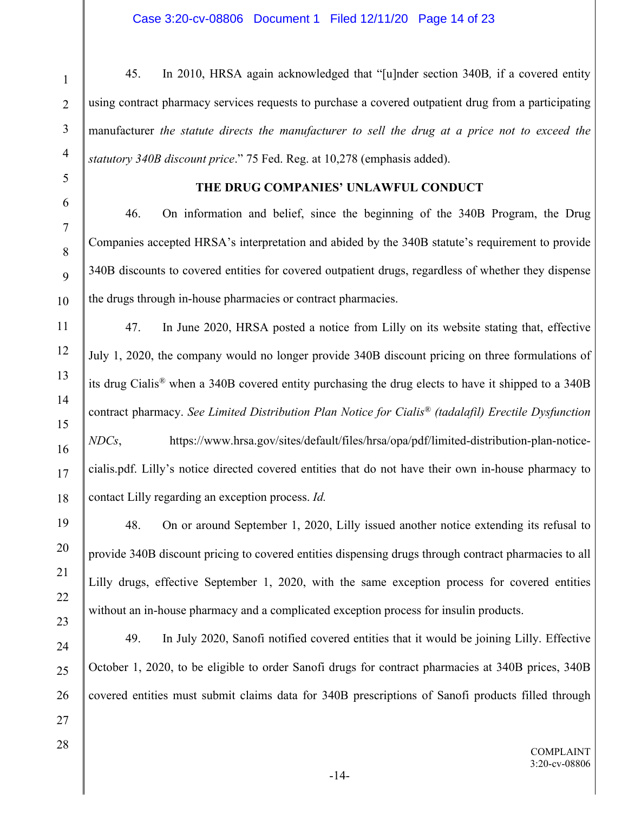45. In 2010, HRSA again acknowledged that "[u]nder section 340B*,* if a covered entity using contract pharmacy services requests to purchase a covered outpatient drug from a participating manufacturer *the statute directs the manufacturer to sell the drug at a price not to exceed the statutory 340B discount price*." 75 Fed. Reg. at 10,278 (emphasis added).

# **THE DRUG COMPANIES' UNLAWFUL CONDUCT**

46. On information and belief, since the beginning of the 340B Program, the Drug Companies accepted HRSA's interpretation and abided by the 340B statute's requirement to provide 340B discounts to covered entities for covered outpatient drugs, regardless of whether they dispense the drugs through in-house pharmacies or contract pharmacies.

47. In June 2020, HRSA posted a notice from Lilly on its website stating that, effective July 1, 2020, the company would no longer provide 340B discount pricing on three formulations of its drug Cialis*®* when a 340B covered entity purchasing the drug elects to have it shipped to a 340B contract pharmacy. *See Limited Distribution Plan Notice for Cialis® (tadalafil) Erectile Dysfunction NDCs*, https://www.hrsa.gov/sites/default/files/hrsa/opa/pdf/limited-distribution-plan-noticecialis.pdf. Lilly's notice directed covered entities that do not have their own in-house pharmacy to contact Lilly regarding an exception process. *Id.*

48. On or around September 1, 2020, Lilly issued another notice extending its refusal to provide 340B discount pricing to covered entities dispensing drugs through contract pharmacies to all Lilly drugs, effective September 1, 2020, with the same exception process for covered entities without an in-house pharmacy and a complicated exception process for insulin products.

49. In July 2020, Sanofi notified covered entities that it would be joining Lilly. Effective October 1, 2020, to be eligible to order Sanofi drugs for contract pharmacies at 340B prices, 340B covered entities must submit claims data for 340B prescriptions of Sanofi products filled through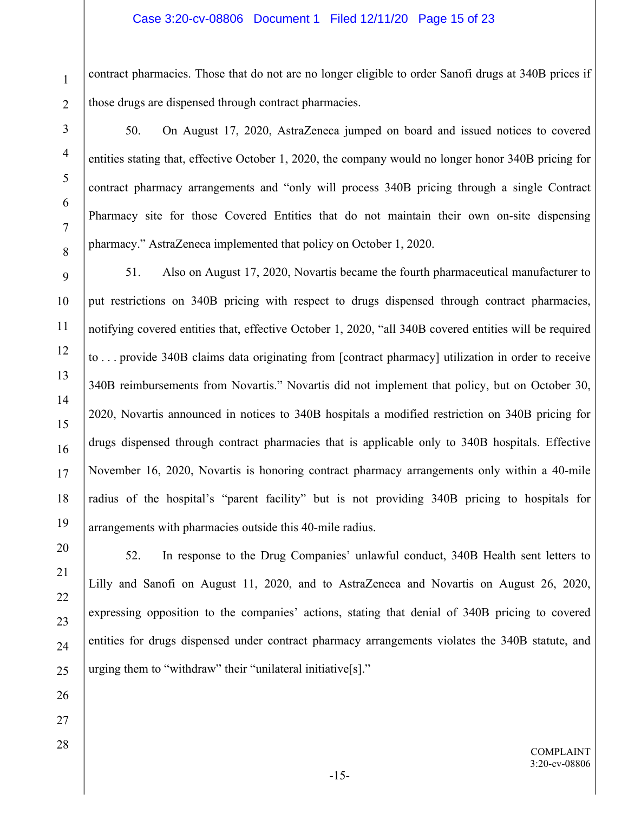### Case 3:20-cv-08806 Document 1 Filed 12/11/20 Page 15 of 23

contract pharmacies. Those that do not are no longer eligible to order Sanofi drugs at 340B prices if those drugs are dispensed through contract pharmacies.

50. On August 17, 2020, AstraZeneca jumped on board and issued notices to covered entities stating that, effective October 1, 2020, the company would no longer honor 340B pricing for contract pharmacy arrangements and "only will process 340B pricing through a single Contract Pharmacy site for those Covered Entities that do not maintain their own on-site dispensing pharmacy." AstraZeneca implemented that policy on October 1, 2020.

51. Also on August 17, 2020, Novartis became the fourth pharmaceutical manufacturer to put restrictions on 340B pricing with respect to drugs dispensed through contract pharmacies, notifying covered entities that, effective October 1, 2020, "all 340B covered entities will be required to . . . provide 340B claims data originating from [contract pharmacy] utilization in order to receive 340B reimbursements from Novartis." Novartis did not implement that policy, but on October 30, 2020, Novartis announced in notices to 340B hospitals a modified restriction on 340B pricing for drugs dispensed through contract pharmacies that is applicable only to 340B hospitals. Effective November 16, 2020, Novartis is honoring contract pharmacy arrangements only within a 40-mile radius of the hospital's "parent facility" but is not providing 340B pricing to hospitals for arrangements with pharmacies outside this 40-mile radius.

52. In response to the Drug Companies' unlawful conduct, 340B Health sent letters to Lilly and Sanofi on August 11, 2020, and to AstraZeneca and Novartis on August 26, 2020, expressing opposition to the companies' actions, stating that denial of 340B pricing to covered entities for drugs dispensed under contract pharmacy arrangements violates the 340B statute, and urging them to "withdraw" their "unilateral initiative[s]."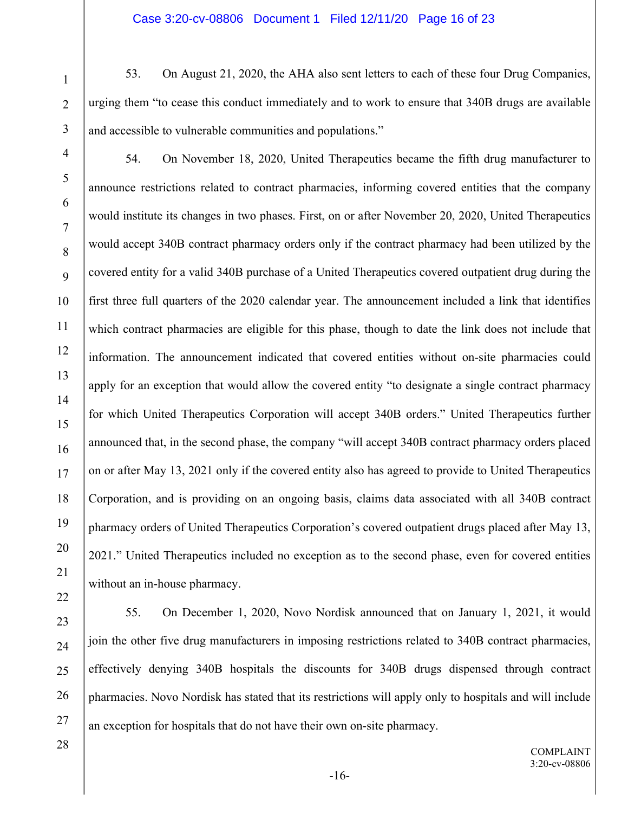53. On August 21, 2020, the AHA also sent letters to each of these four Drug Companies, urging them "to cease this conduct immediately and to work to ensure that 340B drugs are available and accessible to vulnerable communities and populations."

7

8

9

10

11

12

13

14

15

16

17

18

19

20

21

22

1

2

54. On November 18, 2020, United Therapeutics became the fifth drug manufacturer to announce restrictions related to contract pharmacies, informing covered entities that the company would institute its changes in two phases. First, on or after November 20, 2020, United Therapeutics would accept 340B contract pharmacy orders only if the contract pharmacy had been utilized by the covered entity for a valid 340B purchase of a United Therapeutics covered outpatient drug during the first three full quarters of the 2020 calendar year. The announcement included a link that identifies which contract pharmacies are eligible for this phase, though to date the link does not include that information. The announcement indicated that covered entities without on-site pharmacies could apply for an exception that would allow the covered entity "to designate a single contract pharmacy for which United Therapeutics Corporation will accept 340B orders." United Therapeutics further announced that, in the second phase, the company "will accept 340B contract pharmacy orders placed on or after May 13, 2021 only if the covered entity also has agreed to provide to United Therapeutics Corporation, and is providing on an ongoing basis, claims data associated with all 340B contract pharmacy orders of United Therapeutics Corporation's covered outpatient drugs placed after May 13, 2021." United Therapeutics included no exception as to the second phase, even for covered entities without an in-house pharmacy.

23 24 25 26 27 55. On December 1, 2020, Novo Nordisk announced that on January 1, 2021, it would join the other five drug manufacturers in imposing restrictions related to 340B contract pharmacies, effectively denying 340B hospitals the discounts for 340B drugs dispensed through contract pharmacies. Novo Nordisk has stated that its restrictions will apply only to hospitals and will include an exception for hospitals that do not have their own on-site pharmacy.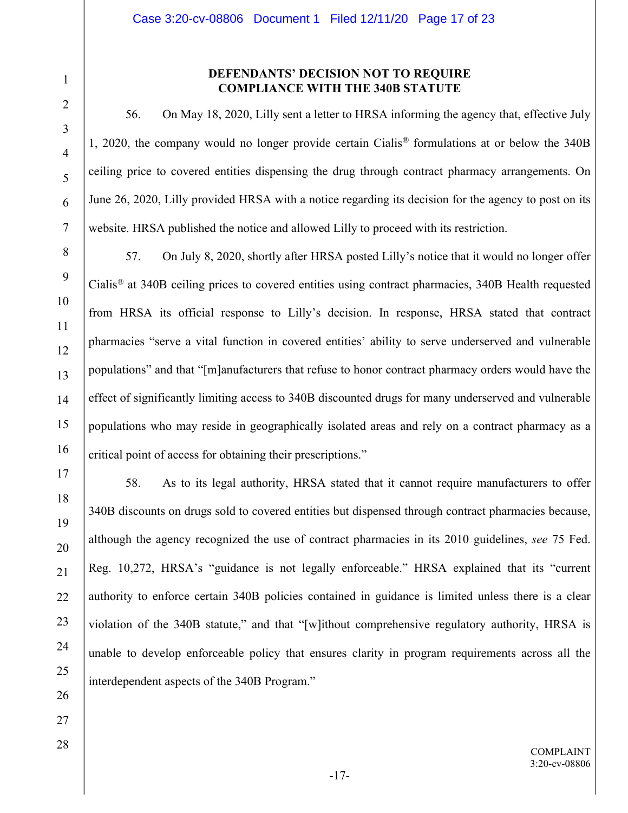# 1 2 3 4

5

6

7

8

9

10

11

12

13

14

15

16

17

18

19

20

21

22

23

24

25

26

27

28

# **DEFENDANTS' DECISION NOT TO REQUIRE COMPLIANCE WITH THE 340B STATUTE**

56. On May 18, 2020, Lilly sent a letter to HRSA informing the agency that, effective July 1, 2020, the company would no longer provide certain Cialis*®* formulations at or below the 340B ceiling price to covered entities dispensing the drug through contract pharmacy arrangements. On June 26, 2020, Lilly provided HRSA with a notice regarding its decision for the agency to post on its website. HRSA published the notice and allowed Lilly to proceed with its restriction.

57. On July 8, 2020, shortly after HRSA posted Lilly's notice that it would no longer offer Cialis*®* at 340B ceiling prices to covered entities using contract pharmacies, 340B Health requested from HRSA its official response to Lilly's decision. In response, HRSA stated that contract pharmacies "serve a vital function in covered entities' ability to serve underserved and vulnerable populations" and that "[m]anufacturers that refuse to honor contract pharmacy orders would have the effect of significantly limiting access to 340B discounted drugs for many underserved and vulnerable populations who may reside in geographically isolated areas and rely on a contract pharmacy as a critical point of access for obtaining their prescriptions."

58. As to its legal authority, HRSA stated that it cannot require manufacturers to offer 340B discounts on drugs sold to covered entities but dispensed through contract pharmacies because, although the agency recognized the use of contract pharmacies in its 2010 guidelines, *see* 75 Fed. Reg. 10,272, HRSA's "guidance is not legally enforceable." HRSA explained that its "current authority to enforce certain 340B policies contained in guidance is limited unless there is a clear violation of the 340B statute," and that "[w]ithout comprehensive regulatory authority, HRSA is unable to develop enforceable policy that ensures clarity in program requirements across all the interdependent aspects of the 340B Program."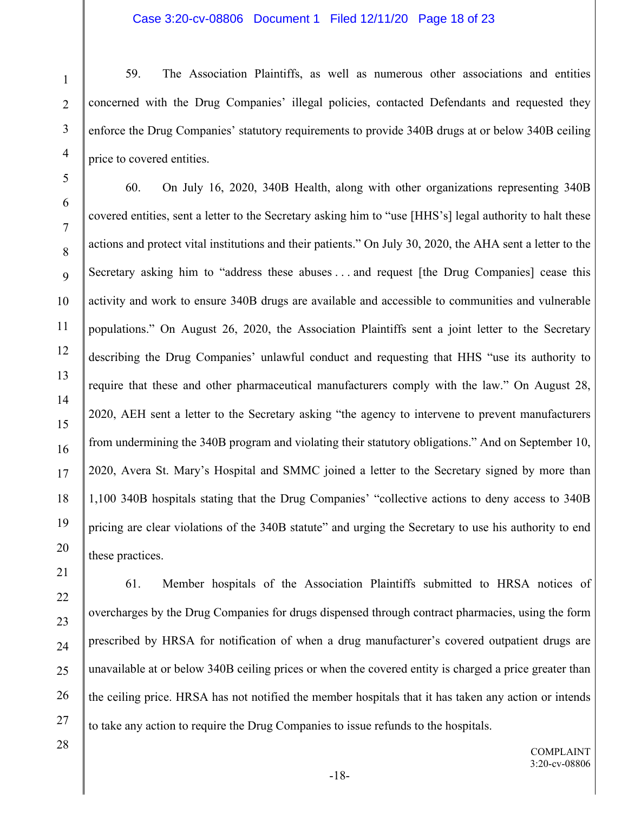### Case 3:20-cv-08806 Document 1 Filed 12/11/20 Page 18 of 23

59. The Association Plaintiffs, as well as numerous other associations and entities concerned with the Drug Companies' illegal policies, contacted Defendants and requested they enforce the Drug Companies' statutory requirements to provide 340B drugs at or below 340B ceiling price to covered entities.

60. On July 16, 2020, 340B Health, along with other organizations representing 340B covered entities, sent a letter to the Secretary asking him to "use [HHS's] legal authority to halt these actions and protect vital institutions and their patients." On July 30, 2020, the AHA sent a letter to the Secretary asking him to "address these abuses . . . and request [the Drug Companies] cease this activity and work to ensure 340B drugs are available and accessible to communities and vulnerable populations." On August 26, 2020, the Association Plaintiffs sent a joint letter to the Secretary describing the Drug Companies' unlawful conduct and requesting that HHS "use its authority to require that these and other pharmaceutical manufacturers comply with the law." On August 28, 2020, AEH sent a letter to the Secretary asking "the agency to intervene to prevent manufacturers from undermining the 340B program and violating their statutory obligations." And on September 10, 2020, Avera St. Mary's Hospital and SMMC joined a letter to the Secretary signed by more than 1,100 340B hospitals stating that the Drug Companies' "collective actions to deny access to 340B pricing are clear violations of the 340B statute" and urging the Secretary to use his authority to end these practices.

61. Member hospitals of the Association Plaintiffs submitted to HRSA notices of overcharges by the Drug Companies for drugs dispensed through contract pharmacies, using the form prescribed by HRSA for notification of when a drug manufacturer's covered outpatient drugs are unavailable at or below 340B ceiling prices or when the covered entity is charged a price greater than the ceiling price. HRSA has not notified the member hospitals that it has taken any action or intends to take any action to require the Drug Companies to issue refunds to the hospitals.

28

1

2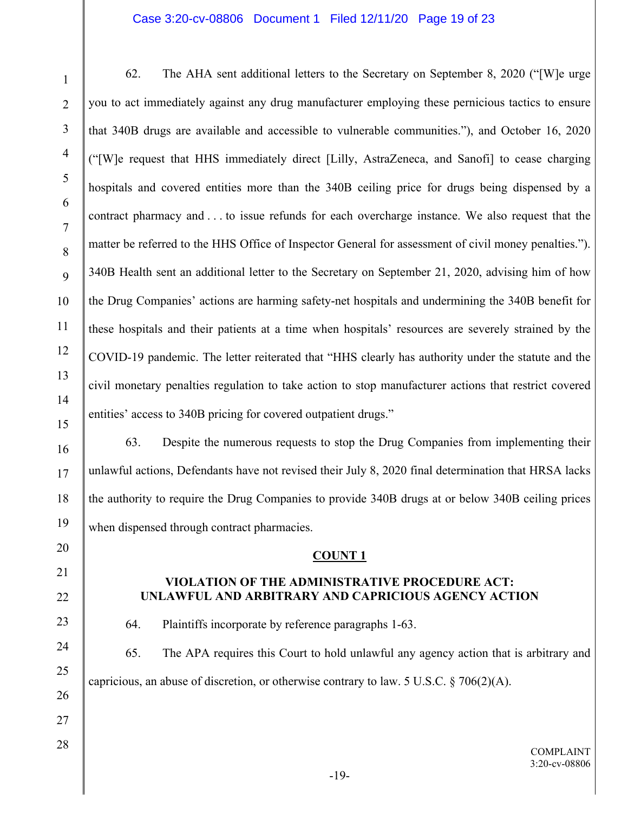# Case 3:20-cv-08806 Document 1 Filed 12/11/20 Page 19 of 23

1

2

3

4

5

6

7

8

9

10

11

12

13

14

15

16

17

18

19

20

21

22

23

24

25

26

27

28

62. The AHA sent additional letters to the Secretary on September 8, 2020 ("[W]e urge you to act immediately against any drug manufacturer employing these pernicious tactics to ensure that 340B drugs are available and accessible to vulnerable communities."), and October 16, 2020 ("[W]e request that HHS immediately direct [Lilly, AstraZeneca, and Sanofi] to cease charging hospitals and covered entities more than the 340B ceiling price for drugs being dispensed by a contract pharmacy and . . . to issue refunds for each overcharge instance. We also request that the matter be referred to the HHS Office of Inspector General for assessment of civil money penalties."). 340B Health sent an additional letter to the Secretary on September 21, 2020, advising him of how the Drug Companies' actions are harming safety-net hospitals and undermining the 340B benefit for these hospitals and their patients at a time when hospitals' resources are severely strained by the COVID-19 pandemic. The letter reiterated that "HHS clearly has authority under the statute and the civil monetary penalties regulation to take action to stop manufacturer actions that restrict covered entities' access to 340B pricing for covered outpatient drugs."

63. Despite the numerous requests to stop the Drug Companies from implementing their unlawful actions, Defendants have not revised their July 8, 2020 final determination that HRSA lacks the authority to require the Drug Companies to provide 340B drugs at or below 340B ceiling prices when dispensed through contract pharmacies.

### **COUNT 1**

# **VIOLATION OF THE ADMINISTRATIVE PROCEDURE ACT: UNLAWFUL AND ARBITRARY AND CAPRICIOUS AGENCY ACTION**

64. Plaintiffs incorporate by reference paragraphs 1-63.

65. The APA requires this Court to hold unlawful any agency action that is arbitrary and capricious, an abuse of discretion, or otherwise contrary to law. 5 U.S.C.  $\S$  706(2)(A).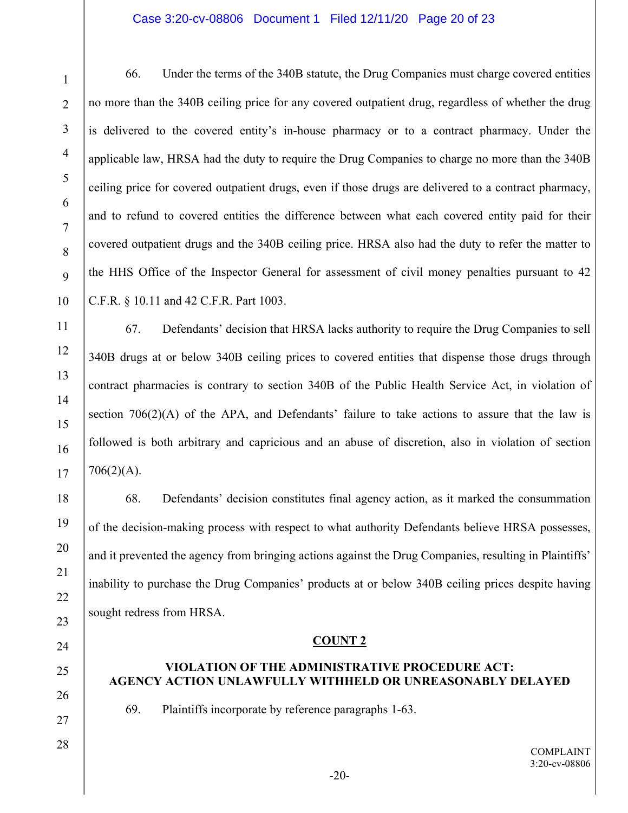# Case 3:20-cv-08806 Document 1 Filed 12/11/20 Page 20 of 23

66. Under the terms of the 340B statute, the Drug Companies must charge covered entities no more than the 340B ceiling price for any covered outpatient drug, regardless of whether the drug is delivered to the covered entity's in-house pharmacy or to a contract pharmacy. Under the applicable law, HRSA had the duty to require the Drug Companies to charge no more than the 340B ceiling price for covered outpatient drugs, even if those drugs are delivered to a contract pharmacy, and to refund to covered entities the difference between what each covered entity paid for their covered outpatient drugs and the 340B ceiling price. HRSA also had the duty to refer the matter to the HHS Office of the Inspector General for assessment of civil money penalties pursuant to 42 C.F.R. § 10.11 and 42 C.F.R. Part 1003.

67. Defendants' decision that HRSA lacks authority to require the Drug Companies to sell 340B drugs at or below 340B ceiling prices to covered entities that dispense those drugs through contract pharmacies is contrary to section 340B of the Public Health Service Act, in violation of section  $706(2)(A)$  of the APA, and Defendants' failure to take actions to assure that the law is followed is both arbitrary and capricious and an abuse of discretion, also in violation of section  $706(2)(A)$ .

68. Defendants' decision constitutes final agency action, as it marked the consummation of the decision-making process with respect to what authority Defendants believe HRSA possesses, and it prevented the agency from bringing actions against the Drug Companies, resulting in Plaintiffs' inability to purchase the Drug Companies' products at or below 340B ceiling prices despite having sought redress from HRSA.

### **COUNT 2**

# **VIOLATION OF THE ADMINISTRATIVE PROCEDURE ACT: AGENCY ACTION UNLAWFULLY WITHHELD OR UNREASONABLY DELAYED**

69. Plaintiffs incorporate by reference paragraphs 1-63.

1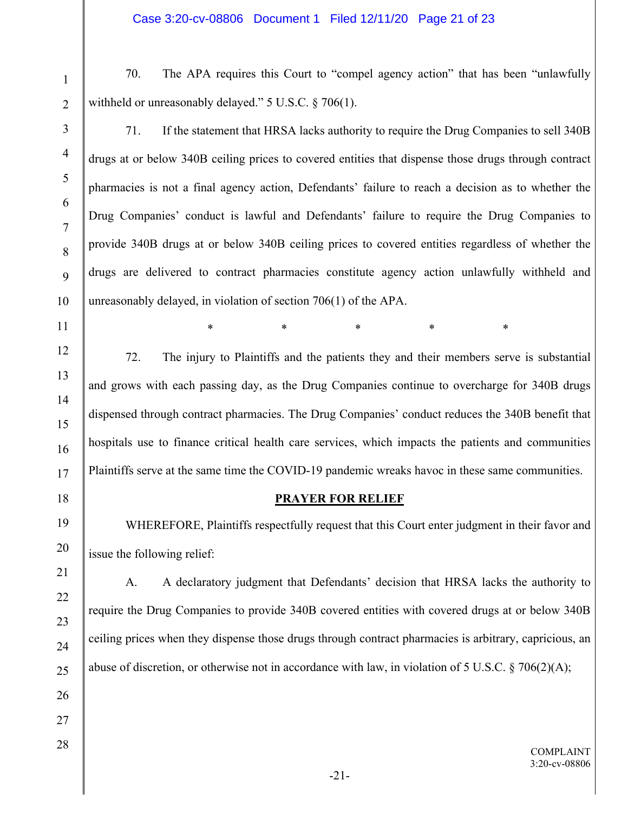70. The APA requires this Court to "compel agency action" that has been "unlawfully withheld or unreasonably delayed." 5 U.S.C. § 706(1).

1

2

3

4

5

6

7

8

9

10

11

12

13

14

15

16

17

18

19

20

21

22

23

24

25

26

27

28

71. If the statement that HRSA lacks authority to require the Drug Companies to sell 340B drugs at or below 340B ceiling prices to covered entities that dispense those drugs through contract pharmacies is not a final agency action, Defendants' failure to reach a decision as to whether the Drug Companies' conduct is lawful and Defendants' failure to require the Drug Companies to provide 340B drugs at or below 340B ceiling prices to covered entities regardless of whether the drugs are delivered to contract pharmacies constitute agency action unlawfully withheld and unreasonably delayed, in violation of section 706(1) of the APA.

72. The injury to Plaintiffs and the patients they and their members serve is substantial and grows with each passing day, as the Drug Companies continue to overcharge for 340B drugs dispensed through contract pharmacies. The Drug Companies' conduct reduces the 340B benefit that hospitals use to finance critical health care services, which impacts the patients and communities Plaintiffs serve at the same time the COVID-19 pandemic wreaks havoc in these same communities.

\* \* \* \* \* \* \*

# **PRAYER FOR RELIEF**

WHEREFORE, Plaintiffs respectfully request that this Court enter judgment in their favor and issue the following relief:

A. A declaratory judgment that Defendants' decision that HRSA lacks the authority to require the Drug Companies to provide 340B covered entities with covered drugs at or below 340B ceiling prices when they dispense those drugs through contract pharmacies is arbitrary, capricious, an abuse of discretion, or otherwise not in accordance with law, in violation of 5 U.S.C.  $\S$  706(2)(A);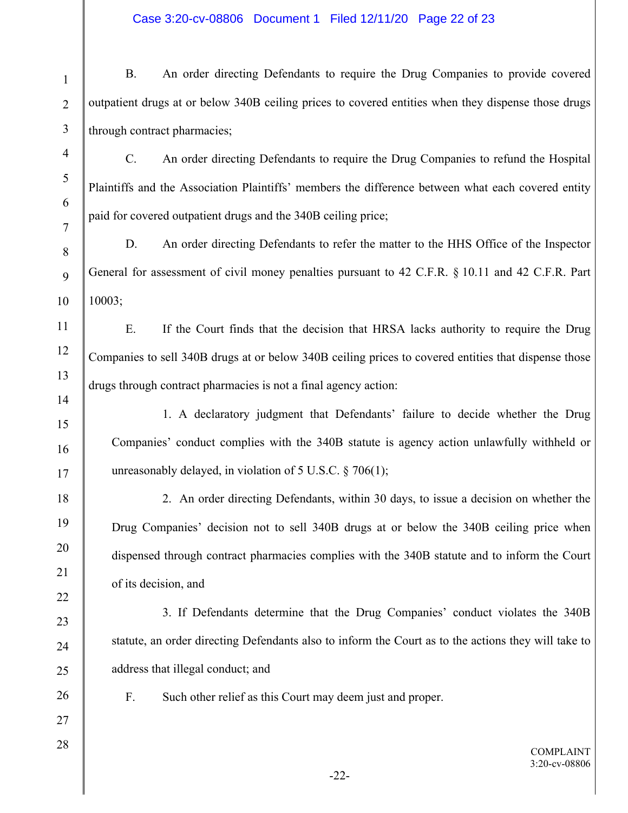# Case 3:20-cv-08806 Document 1 Filed 12/11/20 Page 22 of 23

| $\mathbf{1}$   | <b>B.</b>                                                                                           | An order directing Defendants to require the Drug Companies to provide covered                       |  |
|----------------|-----------------------------------------------------------------------------------------------------|------------------------------------------------------------------------------------------------------|--|
| $\overline{2}$ | outpatient drugs at or below 340B ceiling prices to covered entities when they dispense those drugs |                                                                                                      |  |
| $\mathfrak{Z}$ | through contract pharmacies;                                                                        |                                                                                                      |  |
| $\overline{4}$ | $\mathbf{C}$ .                                                                                      | An order directing Defendants to require the Drug Companies to refund the Hospital                   |  |
| 5              | Plaintiffs and the Association Plaintiffs' members the difference between what each covered entity  |                                                                                                      |  |
| 6              | paid for covered outpatient drugs and the 340B ceiling price;                                       |                                                                                                      |  |
| $\tau$<br>8    | D.                                                                                                  | An order directing Defendants to refer the matter to the HHS Office of the Inspector                 |  |
| 9              |                                                                                                     | General for assessment of civil money penalties pursuant to 42 C.F.R. § 10.11 and 42 C.F.R. Part     |  |
| 10             | 10003;                                                                                              |                                                                                                      |  |
| 11             | Ε.                                                                                                  | If the Court finds that the decision that HRSA lacks authority to require the Drug                   |  |
| 12             |                                                                                                     | Companies to sell 340B drugs at or below 340B ceiling prices to covered entities that dispense those |  |
| 13             | drugs through contract pharmacies is not a final agency action:                                     |                                                                                                      |  |
| 14             |                                                                                                     | 1. A declaratory judgment that Defendants' failure to decide whether the Drug                        |  |
| 15             | Companies' conduct complies with the 340B statute is agency action unlawfully withheld or           |                                                                                                      |  |
| 16<br>17       | unreasonably delayed, in violation of $5$ U.S.C. § 706(1);                                          |                                                                                                      |  |
| 18             |                                                                                                     | 2. An order directing Defendants, within 30 days, to issue a decision on whether the                 |  |
| 19             |                                                                                                     | Drug Companies' decision not to sell 340B drugs at or below the 340B ceiling price when              |  |
| 20             | dispensed through contract pharmacies complies with the 340B statute and to inform the Court        |                                                                                                      |  |
| 21             | of its decision, and                                                                                |                                                                                                      |  |
| 22             |                                                                                                     | 3. If Defendants determine that the Drug Companies' conduct violates the 340B                        |  |
| 23             |                                                                                                     |                                                                                                      |  |
| 24             | statute, an order directing Defendants also to inform the Court as to the actions they will take to |                                                                                                      |  |
| 25             |                                                                                                     | address that illegal conduct; and                                                                    |  |
| 26<br>27       | F.                                                                                                  | Such other relief as this Court may deem just and proper.                                            |  |
| 28             |                                                                                                     |                                                                                                      |  |
|                |                                                                                                     | <b>COMPLAINT</b><br>3:20-cv-08806<br>$-22-$                                                          |  |